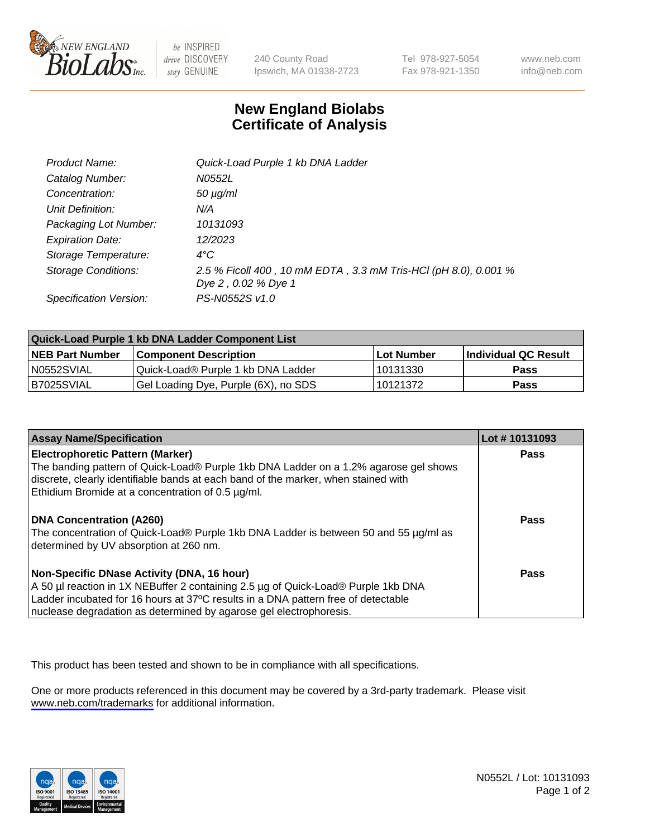

be INSPIRED drive DISCOVERY stay GENUINE

240 County Road Ipswich, MA 01938-2723 Tel 978-927-5054 Fax 978-921-1350

www.neb.com info@neb.com

## **New England Biolabs Certificate of Analysis**

| Product Name:           | Quick-Load Purple 1 kb DNA Ladder                               |
|-------------------------|-----------------------------------------------------------------|
| Catalog Number:         | N0552L                                                          |
| Concentration:          | $50 \mu g/ml$                                                   |
| Unit Definition:        | N/A                                                             |
| Packaging Lot Number:   | 10131093                                                        |
| <b>Expiration Date:</b> | 12/2023                                                         |
| Storage Temperature:    | $4^{\circ}$ C                                                   |
| Storage Conditions:     | 2.5 % Ficoll 400, 10 mM EDTA, 3.3 mM Tris-HCl (pH 8.0), 0.001 % |
|                         | Dye 2, 0.02 % Dye 1                                             |
| Specification Version:  | PS-N0552S v1.0                                                  |

| Quick-Load Purple 1 kb DNA Ladder Component List |                                      |              |                             |  |
|--------------------------------------------------|--------------------------------------|--------------|-----------------------------|--|
| <b>NEB Part Number</b>                           | <b>Component Description</b>         | l Lot Number | <b>Individual QC Result</b> |  |
| N0552SVIAL                                       | Quick-Load® Purple 1 kb DNA Ladder   | 10131330     | <b>Pass</b>                 |  |
| I B7025SVIAL                                     | Gel Loading Dye, Purple (6X), no SDS | 10121372     | <b>Pass</b>                 |  |

| <b>Assay Name/Specification</b>                                                                                                 | Lot #10131093 |
|---------------------------------------------------------------------------------------------------------------------------------|---------------|
| <b>Electrophoretic Pattern (Marker)</b><br>The banding pattern of Quick-Load® Purple 1kb DNA Ladder on a 1.2% agarose gel shows | <b>Pass</b>   |
| discrete, clearly identifiable bands at each band of the marker, when stained with                                              |               |
| Ethidium Bromide at a concentration of 0.5 µg/ml.                                                                               |               |
| <b>DNA Concentration (A260)</b>                                                                                                 | <b>Pass</b>   |
| The concentration of Quick-Load® Purple 1kb DNA Ladder is between 50 and 55 µg/ml as<br>determined by UV absorption at 260 nm.  |               |
| Non-Specific DNase Activity (DNA, 16 hour)                                                                                      | Pass          |
| A 50 µl reaction in 1X NEBuffer 2 containing 2.5 µg of Quick-Load® Purple 1kb DNA                                               |               |
| Ladder incubated for 16 hours at 37°C results in a DNA pattern free of detectable                                               |               |
| nuclease degradation as determined by agarose gel electrophoresis.                                                              |               |

This product has been tested and shown to be in compliance with all specifications.

One or more products referenced in this document may be covered by a 3rd-party trademark. Please visit <www.neb.com/trademarks>for additional information.